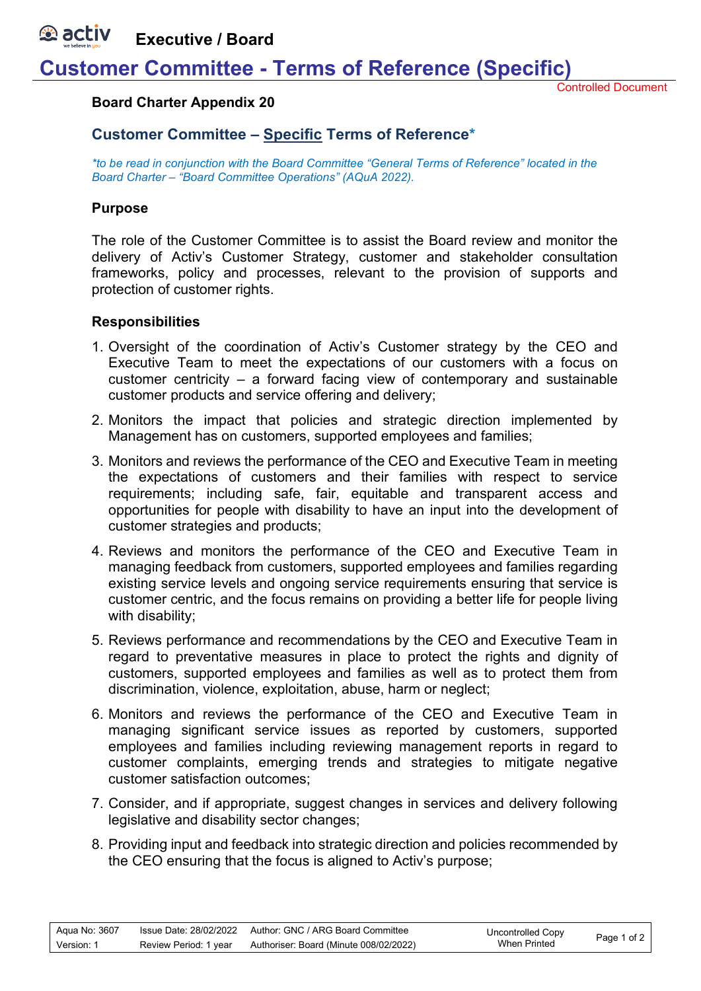*<b>A* activ **Executive / Board**

## **Customer Committee - Terms of Reference (Specific)**

Controlled Document

#### **Board Charter Appendix 20**

### **Customer Committee – Specific Terms of Reference\***

*\*to be read in conjunction with the Board Committee "General Terms of Reference" located in the Board Charter – "Board Committee Operations" (AQuA 2022).* 

#### **Purpose**

The role of the Customer Committee is to assist the Board review and monitor the delivery of Activ's Customer Strategy, customer and stakeholder consultation frameworks, policy and processes, relevant to the provision of supports and protection of customer rights.

#### **Responsibilities**

- 1. Oversight of the coordination of Activ's Customer strategy by the CEO and Executive Team to meet the expectations of our customers with a focus on customer centricity – a forward facing view of contemporary and sustainable customer products and service offering and delivery;
- 2. Monitors the impact that policies and strategic direction implemented by Management has on customers, supported employees and families;
- 3. Monitors and reviews the performance of the CEO and Executive Team in meeting the expectations of customers and their families with respect to service requirements; including safe, fair, equitable and transparent access and opportunities for people with disability to have an input into the development of customer strategies and products;
- 4. Reviews and monitors the performance of the CEO and Executive Team in managing feedback from customers, supported employees and families regarding existing service levels and ongoing service requirements ensuring that service is customer centric, and the focus remains on providing a better life for people living with disability:
- 5. Reviews performance and recommendations by the CEO and Executive Team in regard to preventative measures in place to protect the rights and dignity of customers, supported employees and families as well as to protect them from discrimination, violence, exploitation, abuse, harm or neglect;
- 6. Monitors and reviews the performance of the CEO and Executive Team in managing significant service issues as reported by customers, supported employees and families including reviewing management reports in regard to customer complaints, emerging trends and strategies to mitigate negative customer satisfaction outcomes;
- 7. Consider, and if appropriate, suggest changes in services and delivery following legislative and disability sector changes;
- 8. Providing input and feedback into strategic direction and policies recommended by the CEO ensuring that the focus is aligned to Activ's purpose;